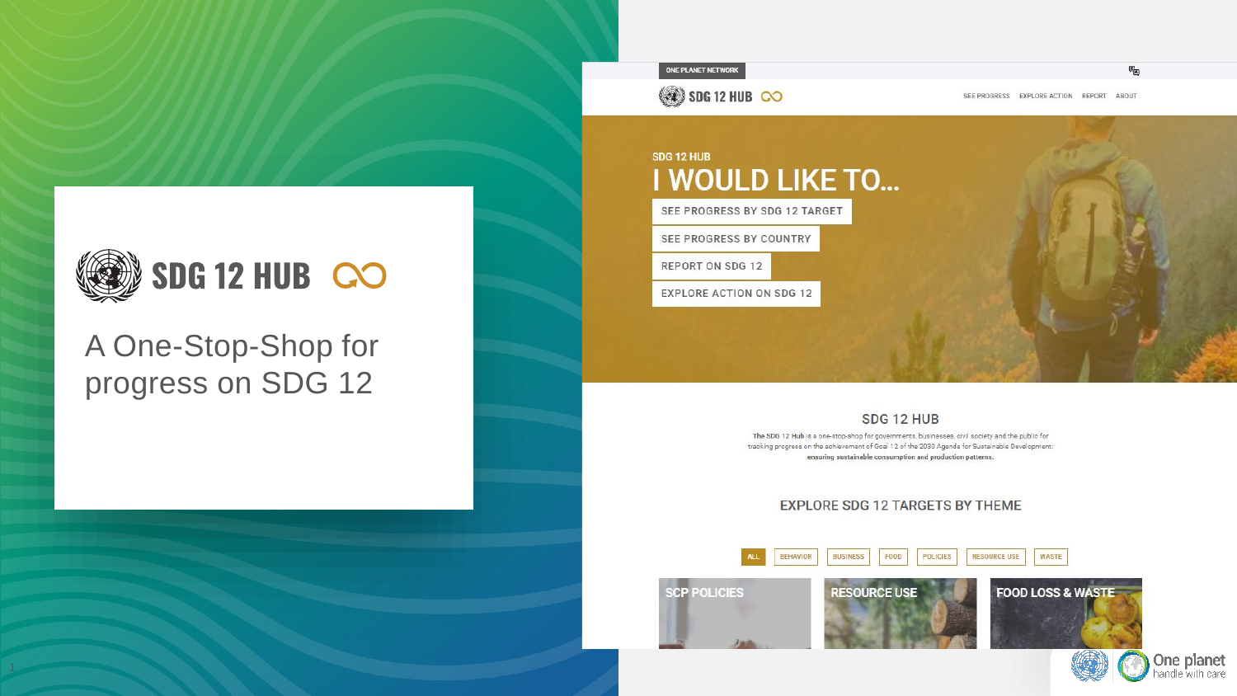# SDG 12 HUB CO

## A One-Stop-Shop for progress on SDG 12

#### ONE PLANET NETWORK

SDG 12 HUB CO

SEE PROGRESS EXPLORE ACTION REPORT ABOUT

四

### SDG 12 HUB **I WOULD LIKE TO...**

SEE PROGRESS BY SDG 12 TARGET

SEE PROGRESS BY COUNTRY

**REPORT ON SDG 12** 

EXPLORE ACTION ON SDG 12

#### SDG 12 HUB

The SDG 12 Hub is a one-stop-shop for governments, businesses, civil society and the public for tracking progress on the achievement of Goal 12 of the 2030 Agenda for Sustainable Development: ensuring sustainable consumption and production patterns.

#### **EXPLORE SDG 12 TARGETS BY THEME**

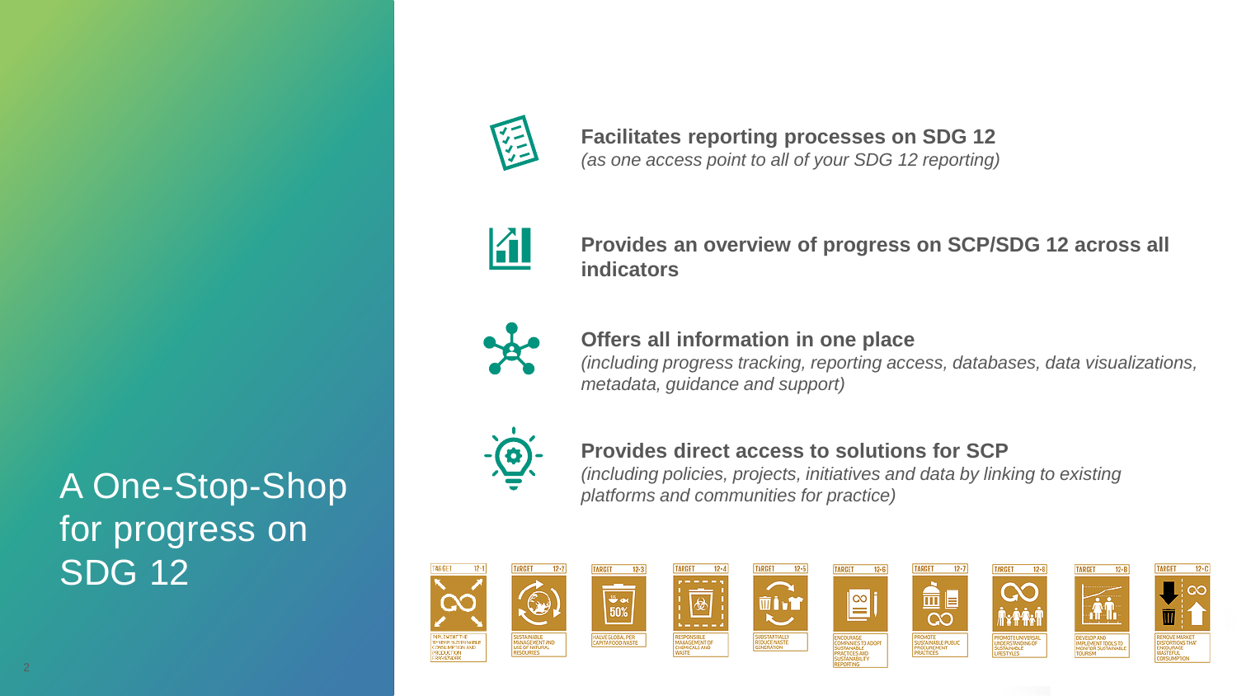

**Facilitates reporting processes on SDG 12** *(as one access point to all of your SDG 12 reporting)*



**Provides an overview of progress on SCP/SDG 12 across all indicators**



**Offers all information in one place** *(including progress tracking, reporting access, databases, data visualizations, metadata, guidance and support)*



**Provides direct access to solutions for SCP** *(including policies, projects, initiatives and data by linking to existing platforms and communities for practice)*



A One-Stop-Shop for progress on SDG 12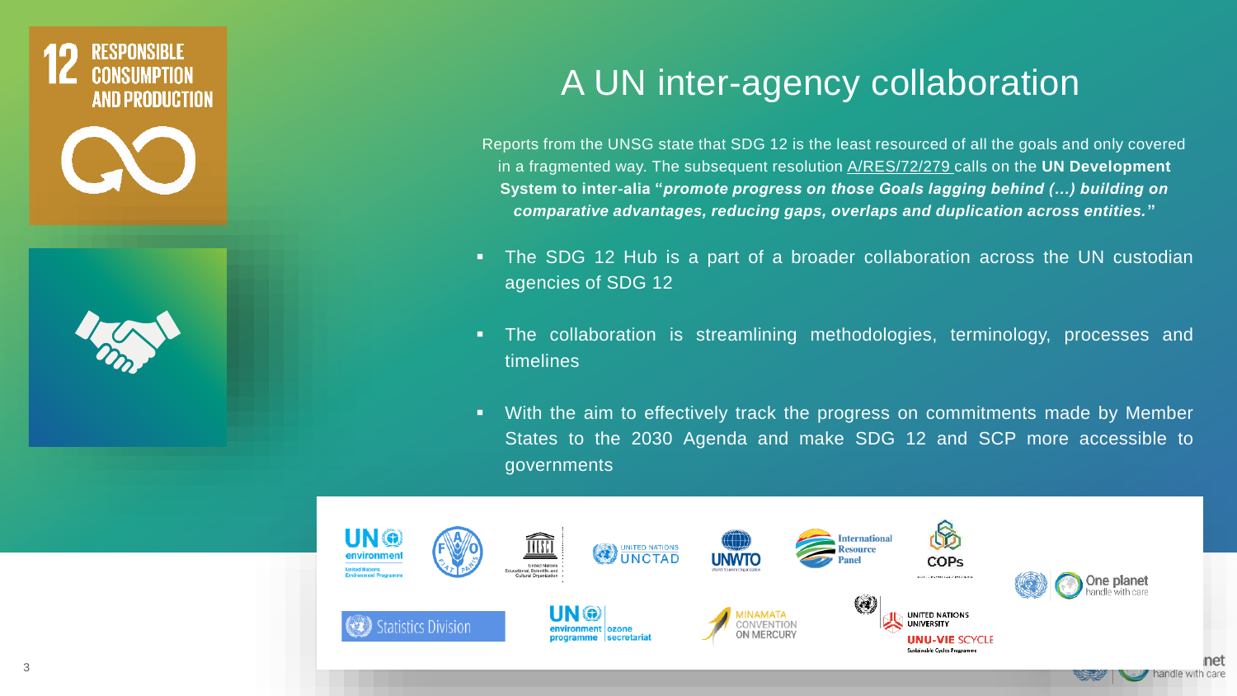

## A UN inter-agency collaboration

Reports from the UNSG state that SDG 12 is the least resourced of all the goals and only covered in a fragmented way. The subsequent resolution A/RES/72/279 calls on the **UN Development System to inter-alia "***promote progress on those Goals lagging behind (…) building on comparative advantages, reducing gaps, overlaps and duplication across entities.***"**

- The SDG 12 Hub is a part of a broader collaboration across the UN custodian agencies of SDG 12
- The collaboration is streamlining methodologies, terminology, processes and timelines
- With the aim to effectively track the progress on commitments made by Member States to the 2030 Agenda and make SDG 12 and SCP more accessible to governments

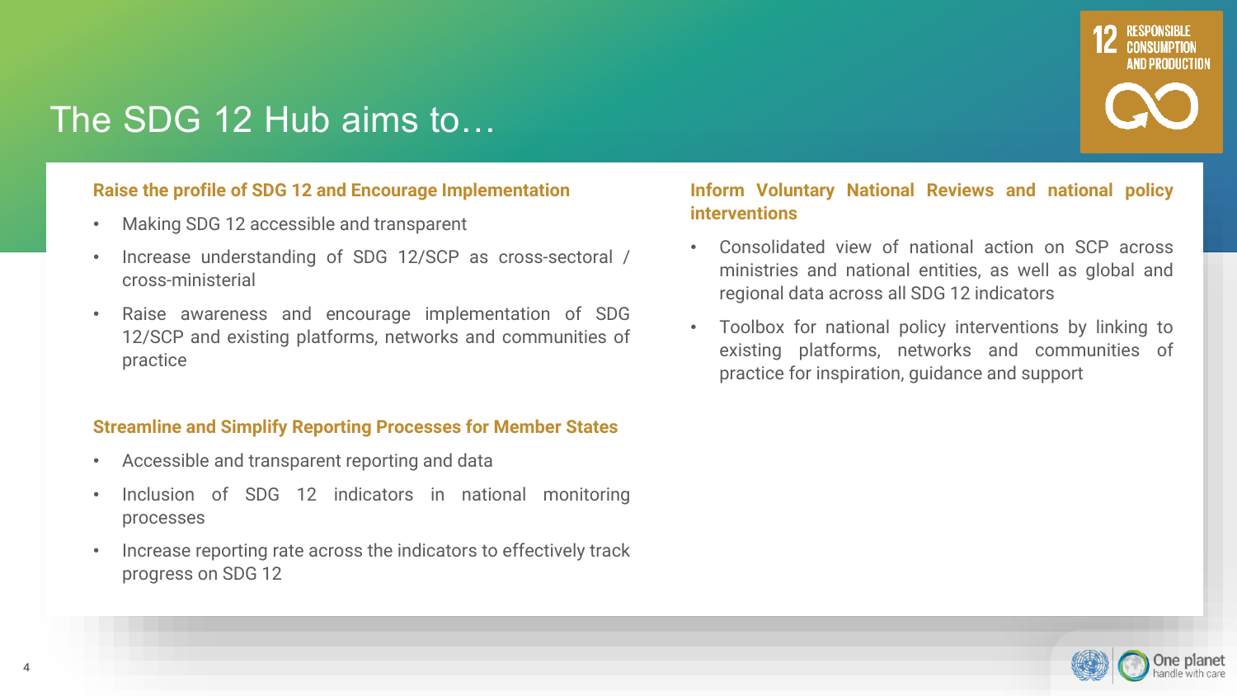

## The SDG 12 Hub aims to…

#### **Raise the profile of SDG 12 and Encourage Implementation**

- Making SDG 12 accessible and transparent
- Increase understanding of SDG 12/SCP as cross-sectoral / cross-ministerial
- Raise awareness and encourage implementation of SDG 12/SCP and existing platforms, networks and communities of practice

#### **Streamline and Simplify Reporting Processes for Member States**

- Accessible and transparent reporting and data
- Inclusion of SDG 12 indicators in national monitoring processes
- Increase reporting rate across the indicators to effectively track progress on SDG 12

### **Inform Voluntary National Reviews and national policy interventions**

- Consolidated view of national action on SCP across ministries and national entities, as well as global and regional data across all SDG 12 indicators
- Toolbox for national policy interventions by linking to existing platforms, networks and communities of practice for inspiration, guidance and support

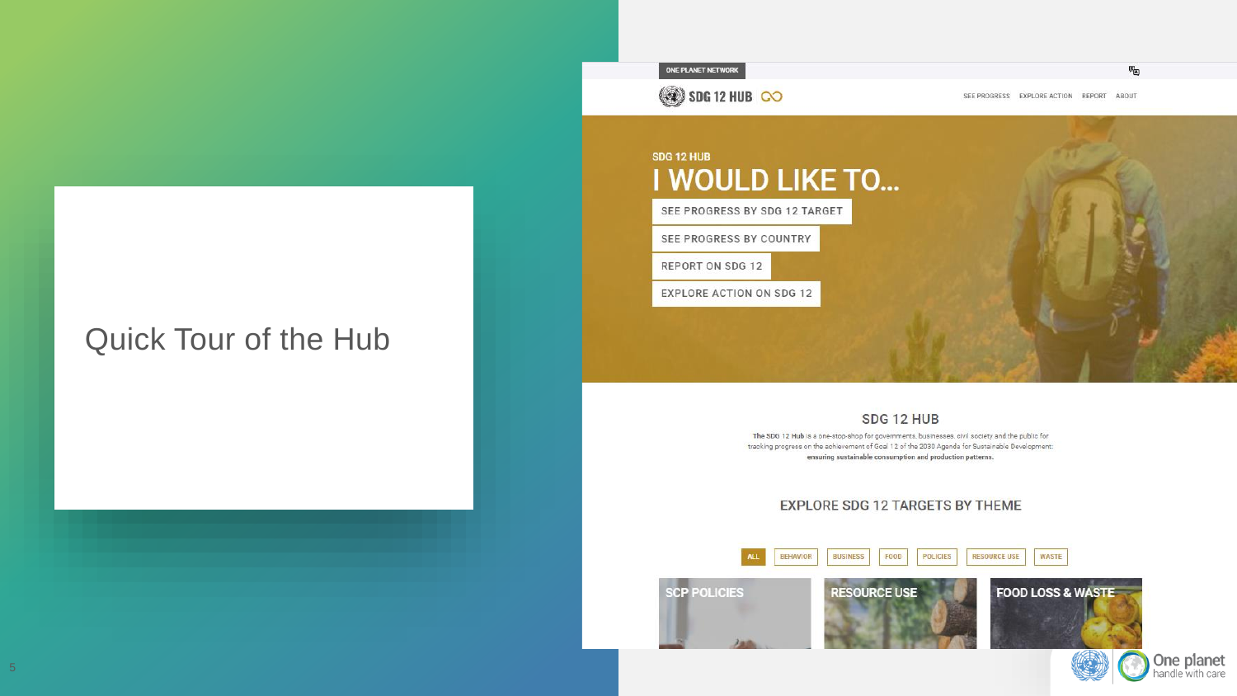## **Quick Tour of the Hub**

SDG 12 HUB CO

SEE PROGRESS EXPLORE ACTION REPORT ABOUT

剛

### SDG 12 HUB I WOULD LIKE TO...

SEE PROGRESS BY SDG 12 TARGET

SEE PROGRESS BY COUNTRY

REPORT ON SDG 12

EXPLORE ACTION ON SDG 12

#### SDG 12 HUB

The SDG 12 Hub is a one-stop-shop for governments, businesses, civil society and the public for tracking progress on the achievement of Goal 12 of the 2030 Agenda for Sustainable Development: ensuring sustainable consumption and production patterns.

#### **EXPLORE SDG 12 TARGETS BY THEME**

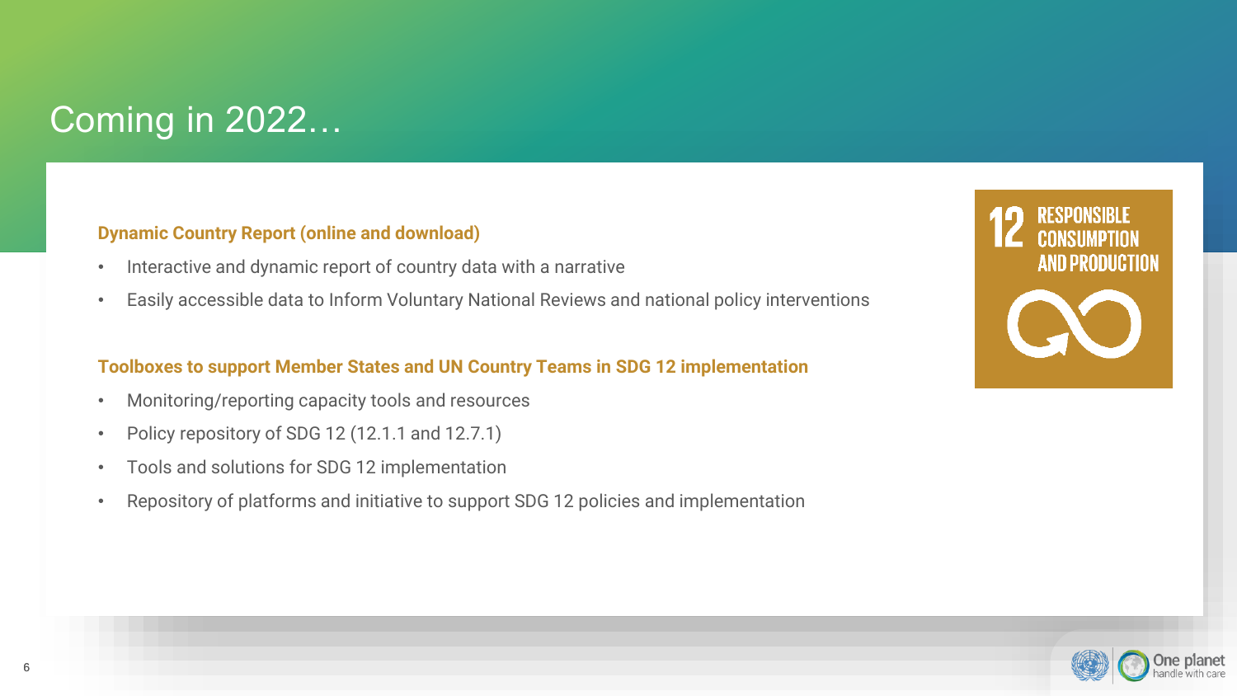## Coming in 2022…

### **Dynamic Country Report (online and download)**

- Interactive and dynamic report of country data with a narrative
- Easily accessible data to Inform Voluntary National Reviews and national policy interventions

#### **Toolboxes to support Member States and UN Country Teams in SDG 12 implementation**

- Monitoring/reporting capacity tools and resources
- Policy repository of SDG 12 (12.1.1 and 12.7.1)
- Tools and solutions for SDG 12 implementation
- Repository of platforms and initiative to support SDG 12 policies and implementation